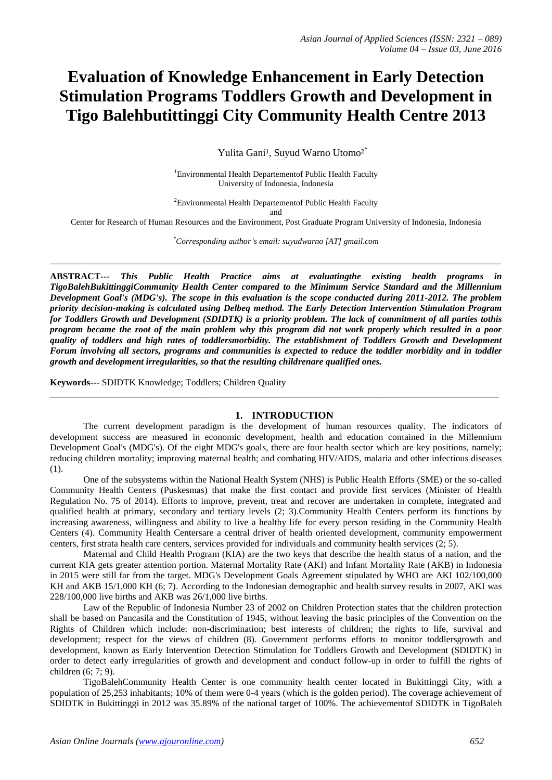# **Evaluation of Knowledge Enhancement in Early Detection Stimulation Programs Toddlers Growth and Development in Tigo Balehbutittinggi City Community Health Centre 2013**

Yulita Gani<sup>1</sup>, Suyud Warno Utomo<sup>2\*</sup>

<sup>1</sup>Environmental Health Departement of Public Health Faculty University of Indonesia, Indonesia

<sup>2</sup>Environmental Health Departementof Public Health Faculty

and

Center for Research of Human Resources and the Environment, Post Graduate Program University of Indonesia, Indonesia

*\*Corresponding author's email: suyudwarno [AT] gmail.com*

*\_\_\_\_\_\_\_\_\_\_\_\_\_\_\_\_\_\_\_\_\_\_\_\_\_\_\_\_\_\_\_\_\_\_\_\_\_\_\_\_\_\_\_\_\_\_\_\_\_\_\_\_\_\_\_\_\_\_\_\_\_\_\_\_\_\_\_\_\_\_\_\_\_\_\_\_\_\_\_\_\_\_\_\_\_\_\_\_\_\_\_\_\_\_\_\_\_\_\_\_\_\_\_\_\_\_\_\_*

**ABSTRACT---** *This Public Health Practice aims at evaluatingthe existing health programs in TigoBalehBukittinggiCommunity Health Center compared to the Minimum Service Standard and the Millennium Development Goal's (MDG's). The scope in this evaluation is the scope conducted during 2011-2012. The problem priority decision-making is calculated using Delbeq method. The Early Detection Intervention Stimulation Program for Toddlers Growth and Development (SDIDTK) is a priority problem. The lack of commitment of all parties tothis program became the root of the main problem why this program did not work properly which resulted in a poor quality of toddlers and high rates of toddlersmorbidity. The establishment of Toddlers Growth and Development Forum involving all sectors, programs and communities is expected to reduce the toddler morbidity and in toddler growth and development irregularities, so that the resulting childrenare qualified ones.*

**Keywords---** SDIDTK Knowledge; Toddlers; Children Quality

#### **1. INTRODUCTION**

The current development paradigm is the development of human resources quality. The indicators of development success are measured in economic development, health and education contained in the Millennium Development Goal's (MDG's). Of the eight MDG's goals, there are four health sector which are key positions, namely; reducing children mortality; improving maternal health; and combating HIV/AIDS, malaria and other infectious diseases (1).

\_\_\_\_\_\_\_\_\_\_\_\_\_\_\_\_\_\_\_\_\_\_\_\_\_\_\_\_\_\_\_\_\_\_\_\_\_\_\_\_\_\_\_\_\_\_\_\_\_\_\_\_\_\_\_\_\_\_\_\_\_\_\_\_\_\_\_\_\_\_\_\_\_\_\_\_\_\_\_\_\_\_\_\_\_\_\_\_\_\_\_\_\_\_\_\_\_

One of the subsystems within the National Health System (NHS) is Public Health Efforts (SME) or the so-called Community Health Centers (Puskesmas) that make the first contact and provide first services (Minister of Health Regulation No. 75 of 2014). Efforts to improve, prevent, treat and recover are undertaken in complete, integrated and qualified health at primary, secondary and tertiary levels (2; 3).Community Health Centers perform its functions by increasing awareness, willingness and ability to live a healthy life for every person residing in the Community Health Centers (4). Community Health Centersare a central driver of health oriented development, community empowerment centers, first strata health care centers, services provided for individuals and community health services (2; 5).

Maternal and Child Health Program (KIA) are the two keys that describe the health status of a nation, and the current KIA gets greater attention portion. Maternal Mortality Rate (AKI) and Infant Mortality Rate (AKB) in Indonesia in 2015 were still far from the target. MDG's Development Goals Agreement stipulated by WHO are AKI 102/100,000 KH and AKB 15/1,000 KH (6; 7). According to the Indonesian demographic and health survey results in 2007, AKI was 228/100,000 live births and AKB was 26/1,000 live births.

Law of the Republic of Indonesia Number 23 of 2002 on Children Protection states that the children protection shall be based on Pancasila and the Constitution of 1945, without leaving the basic principles of the Convention on the Rights of Children which include: non-discrimination; best interests of children; the rights to life, survival and development; respect for the views of children (8). Government performs efforts to monitor toddlersgrowth and development, known as Early Intervention Detection Stimulation for Toddlers Growth and Development (SDIDTK) in order to detect early irregularities of growth and development and conduct follow-up in order to fulfill the rights of children (6; 7; 9).

TigoBalehCommunity Health Center is one community health center located in Bukittinggi City, with a population of 25,253 inhabitants; 10% of them were 0-4 years (which is the golden period). The coverage achievement of SDIDTK in Bukittinggi in 2012 was 35.89% of the national target of 100%. The achievementof SDIDTK in TigoBaleh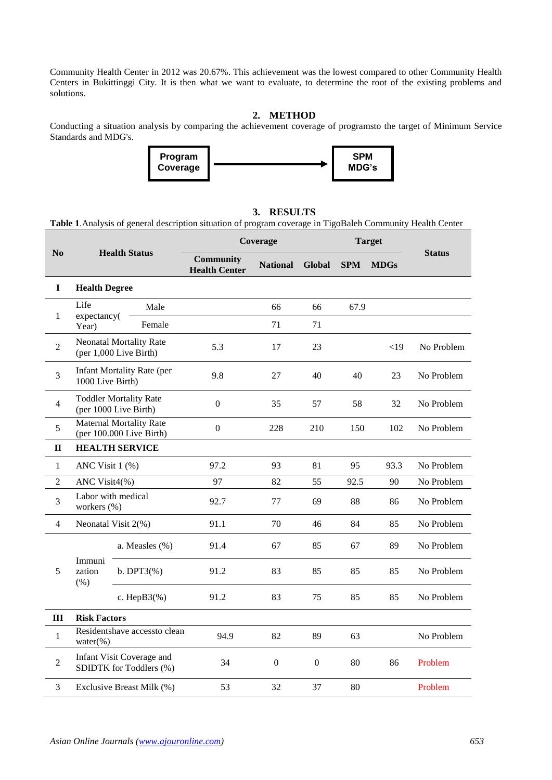Community Health Center in 2012 was 20.67%. This achievement was the lowest compared to other Community Health Centers in Bukittinggi City. It is then what we want to evaluate, to determine the root of the existing problems and solutions.

# **2. METHOD**

Conducting a situation analysis by comparing the achievement coverage of programsto the target of Minimum Service Standards and MDG's.



#### **3. RESULTS**

**Table 1**.Analysis of general description situation of program coverage in TigoBaleh Community Health Center

|                | <b>Health Status</b>                                       |                           | Coverage                                 |                  |                  | <b>Target</b> |             |               |
|----------------|------------------------------------------------------------|---------------------------|------------------------------------------|------------------|------------------|---------------|-------------|---------------|
| No             |                                                            |                           | <b>Community</b><br><b>Health Center</b> | <b>National</b>  | <b>Global</b>    | <b>SPM</b>    | <b>MDGs</b> | <b>Status</b> |
| $\mathbf I$    | <b>Health Degree</b>                                       |                           |                                          |                  |                  |               |             |               |
| $\mathbf{1}$   | Life<br>expectancy(                                        | Male                      |                                          | 66               | 66               | 67.9          |             |               |
|                | Year)                                                      | Female                    |                                          | 71               | 71               |               |             |               |
| $\overline{2}$ | <b>Neonatal Mortality Rate</b><br>(per 1,000 Live Birth)   |                           | 5.3                                      | 17               | 23               |               | <19         | No Problem    |
| 3              | <b>Infant Mortality Rate (per</b><br>1000 Live Birth)      |                           | 9.8                                      | 27               | 40               | 40            | 23          | No Problem    |
| $\overline{4}$ | <b>Toddler Mortality Rate</b><br>(per 1000 Live Birth)     |                           | $\boldsymbol{0}$                         | 35               | 57               | 58            | 32          | No Problem    |
| 5              | <b>Maternal Mortality Rate</b><br>(per 100.000 Live Birth) |                           | $\boldsymbol{0}$                         | 228              | 210              | 150           | 102         | No Problem    |
| $\mathbf{I}$   | <b>HEALTH SERVICE</b>                                      |                           |                                          |                  |                  |               |             |               |
| $\mathbf{1}$   | ANC Visit 1 (%)                                            |                           | 97.2                                     | 93               | 81               | 95            | 93.3        | No Problem    |
| $\overline{2}$ | ANC Visit4(%)                                              |                           | 97                                       | 82               | 55               | 92.5          | 90          | No Problem    |
| $\mathfrak{Z}$ | Labor with medical<br>workers (%)                          |                           | 92.7                                     | 77               | 69               | 88            | 86          | No Problem    |
| $\overline{4}$ |                                                            | Neonatal Visit 2(%)       | 91.1                                     | 70               | 46               | 84            | 85          | No Problem    |
|                | Immuni<br>zation<br>(% )                                   | a. Measles (%)            | 91.4                                     | 67               | 85               | 67            | 89          | No Problem    |
| 5              |                                                            | $b. DPT3(\%)$             | 91.2                                     | 83               | 85               | 85            | 85          | No Problem    |
|                |                                                            | c. Hep $B3(\%)$           | 91.2                                     | 83               | 75               | 85            | 85          | No Problem    |
| III            | <b>Risk Factors</b>                                        |                           |                                          |                  |                  |               |             |               |
| $\mathbf{1}$   | Residentshave accessto clean<br>water $(\%)$               |                           | 94.9                                     | 82               | 89               | 63            |             | No Problem    |
| $\overline{2}$ | Infant Visit Coverage and<br>SDIDTK for Toddlers (%)       |                           | 34                                       | $\boldsymbol{0}$ | $\boldsymbol{0}$ | 80            | 86          | Problem       |
| 3              |                                                            | Exclusive Breast Milk (%) | 53                                       | 32               | 37               | 80            |             | Problem       |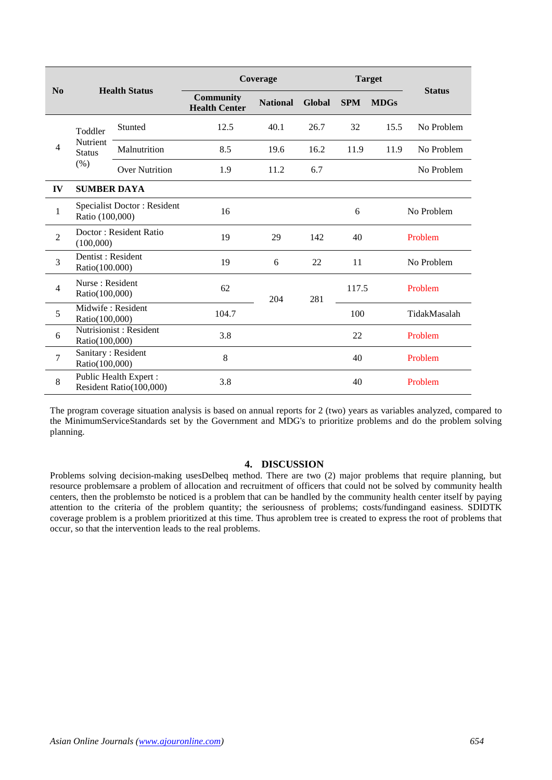|                | <b>Health Status</b>                           |                                                  | Coverage                                 |                 |        | <b>Target</b> |             |               |  |
|----------------|------------------------------------------------|--------------------------------------------------|------------------------------------------|-----------------|--------|---------------|-------------|---------------|--|
| No             |                                                |                                                  | <b>Community</b><br><b>Health Center</b> | <b>National</b> | Global | <b>SPM</b>    | <b>MDGs</b> | <b>Status</b> |  |
| 4              | Toddler<br>Nutrient<br><b>Status</b><br>$(\%)$ | Stunted                                          | 12.5                                     | 40.1            | 26.7   | 32            | 15.5        | No Problem    |  |
|                |                                                | Malnutrition                                     | 8.5                                      | 19.6            | 16.2   | 11.9          | 11.9        | No Problem    |  |
|                |                                                | <b>Over Nutrition</b>                            | 1.9                                      | 11.2            | 6.7    |               |             | No Problem    |  |
| IV             | <b>SUMBER DAYA</b>                             |                                                  |                                          |                 |        |               |             |               |  |
| $\mathbf{1}$   | Specialist Doctor: Resident<br>Ratio (100,000) |                                                  | 16                                       |                 |        | 6             |             | No Problem    |  |
| $\overline{2}$ | Doctor: Resident Ratio<br>(100,000)            |                                                  | 19                                       | 29              | 142    | 40            |             | Problem       |  |
| 3              | Dentist: Resident<br>Ratio(100.000)            |                                                  | 19                                       | 6               | 22     | 11            |             | No Problem    |  |
| $\overline{4}$ | Nurse: Resident<br>Ratio(100,000)              |                                                  | 62                                       | 204             | 281    | 117.5         |             | Problem       |  |
| 5              | Midwife: Resident<br>Ratio(100,000)            |                                                  | 104.7                                    |                 |        | 100           |             | TidakMasalah  |  |
| 6              | Ratio(100,000)                                 | Nutrisionist: Resident                           | 3.8                                      |                 |        | 22            | Problem     |               |  |
| $\overline{7}$ | Ratio(100,000)                                 | Sanitary: Resident                               | 8                                        |                 |        | 40            |             | Problem       |  |
| 8              |                                                | Public Health Expert:<br>Resident Ratio(100,000) | 3.8                                      |                 |        | 40            |             | Problem       |  |

The program coverage situation analysis is based on annual reports for 2 (two) years as variables analyzed, compared to the MinimumServiceStandards set by the Government and MDG's to prioritize problems and do the problem solving planning.

## **4. DISCUSSION**

Problems solving decision-making usesDelbeq method. There are two (2) major problems that require planning, but resource problemsare a problem of allocation and recruitment of officers that could not be solved by community health centers, then the problemsto be noticed is a problem that can be handled by the community health center itself by paying attention to the criteria of the problem quantity; the seriousness of problems; costs/fundingand easiness. SDIDTK coverage problem is a problem prioritized at this time. Thus aproblem tree is created to express the root of problems that occur, so that the intervention leads to the real problems.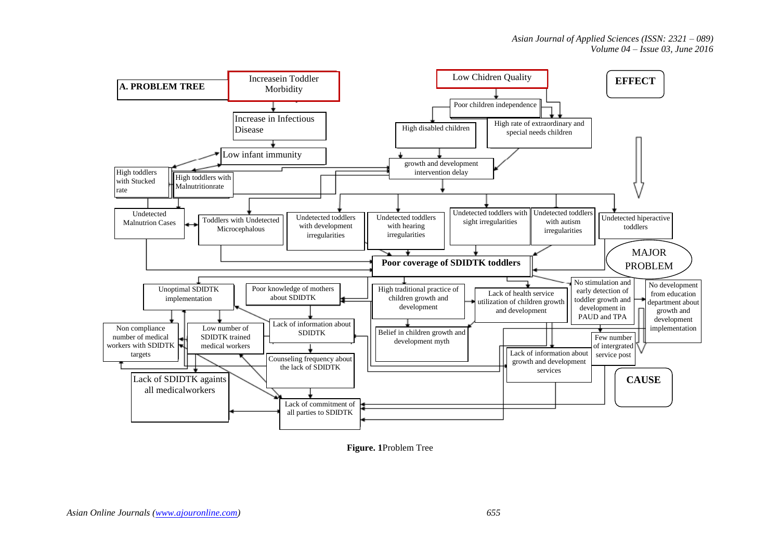

**Figure. 1**Problem Tree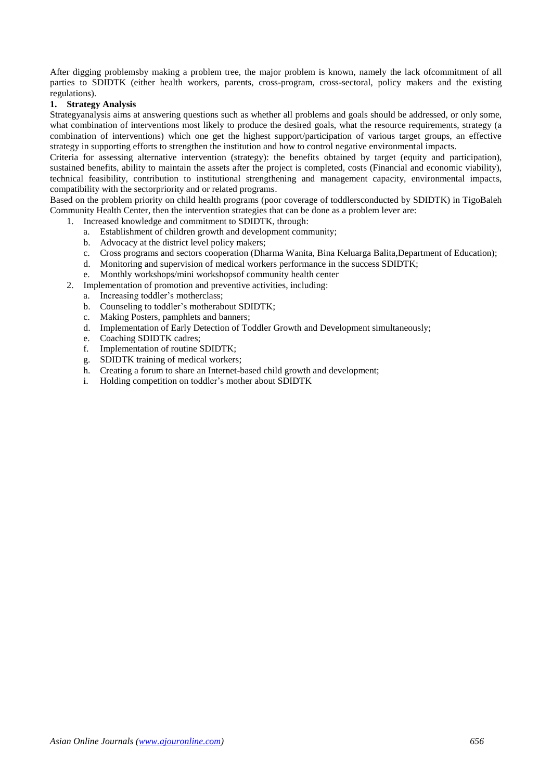After digging problemsby making a problem tree, the major problem is known, namely the lack ofcommitment of all parties to SDIDTK (either health workers, parents, cross-program, cross-sectoral, policy makers and the existing regulations).

# **1. Strategy Analysis**

Strategyanalysis aims at answering questions such as whether all problems and goals should be addressed, or only some, what combination of interventions most likely to produce the desired goals, what the resource requirements, strategy (a combination of interventions) which one get the highest support/participation of various target groups, an effective strategy in supporting efforts to strengthen the institution and how to control negative environmental impacts.

Criteria for assessing alternative intervention (strategy): the benefits obtained by target (equity and participation), sustained benefits, ability to maintain the assets after the project is completed, costs (Financial and economic viability), technical feasibility, contribution to institutional strengthening and management capacity, environmental impacts, compatibility with the sectorpriority and or related programs.

Based on the problem priority on child health programs (poor coverage of toddlersconducted by SDIDTK) in TigoBaleh Community Health Center, then the intervention strategies that can be done as a problem lever are:

- 1. Increased knowledge and commitment to SDIDTK, through:
	- a. Establishment of children growth and development community;
	- b. Advocacy at the district level policy makers;
	- c. Cross programs and sectors cooperation (Dharma Wanita, Bina Keluarga Balita,Department of Education);
	- d. Monitoring and supervision of medical workers performance in the success SDIDTK;
	- e. Monthly workshops/mini workshopsof community health center
- 2. Implementation of promotion and preventive activities, including:
	- a. Increasing toddler's motherclass;
	- b. Counseling to toddler's motherabout SDIDTK;
	- c. Making Posters, pamphlets and banners;
	- d. Implementation of Early Detection of Toddler Growth and Development simultaneously;
	- e. Coaching SDIDTK cadres;
	- f. Implementation of routine SDIDTK;
	- g. SDIDTK training of medical workers;
	- h. Creating a forum to share an Internet-based child growth and development;
	- i. Holding competition on toddler's mother about SDIDTK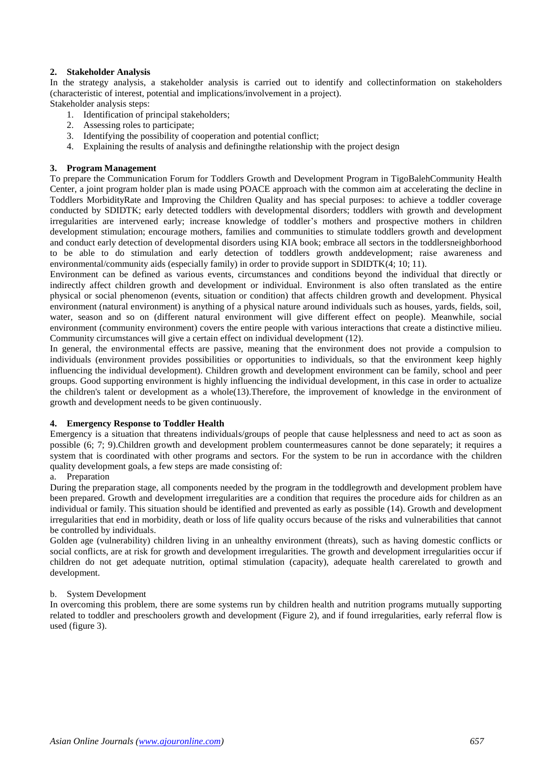# **2. Stakeholder Analysis**

In the strategy analysis, a stakeholder analysis is carried out to identify and collectinformation on stakeholders (characteristic of interest, potential and implications/involvement in a project).

Stakeholder analysis steps:

- 1. Identification of principal stakeholders;
- 2. Assessing roles to participate;
- 3. Identifying the possibility of cooperation and potential conflict;
- 4. Explaining the results of analysis and definingthe relationship with the project design

# **3. Program Management**

To prepare the Communication Forum for Toddlers Growth and Development Program in TigoBalehCommunity Health Center, a joint program holder plan is made using POACE approach with the common aim at accelerating the decline in Toddlers MorbidityRate and Improving the Children Quality and has special purposes: to achieve a toddler coverage conducted by SDIDTK; early detected toddlers with developmental disorders; toddlers with growth and development irregularities are intervened early; increase knowledge of toddler's mothers and prospective mothers in children development stimulation; encourage mothers, families and communities to stimulate toddlers growth and development and conduct early detection of developmental disorders using KIA book; embrace all sectors in the toddlersneighborhood to be able to do stimulation and early detection of toddlers growth anddevelopment; raise awareness and environmental/community aids (especially family) in order to provide support in SDIDTK(4; 10; 11).

Environment can be defined as various events, circumstances and conditions beyond the individual that directly or indirectly affect children growth and development or individual. Environment is also often translated as the entire physical or social phenomenon (events, situation or condition) that affects children growth and development. Physical environment (natural environment) is anything of a physical nature around individuals such as houses, yards, fields, soil, water, season and so on (different natural environment will give different effect on people). Meanwhile, social environment (community environment) covers the entire people with various interactions that create a distinctive milieu. Community circumstances will give a certain effect on individual development (12).

In general, the environmental effects are passive, meaning that the environment does not provide a compulsion to individuals (environment provides possibilities or opportunities to individuals, so that the environment keep highly influencing the individual development). Children growth and development environment can be family, school and peer groups. Good supporting environment is highly influencing the individual development, in this case in order to actualize the children's talent or development as a whole(13).Therefore, the improvement of knowledge in the environment of growth and development needs to be given continuously.

## **4. Emergency Response to Toddler Health**

Emergency is a situation that threatens individuals/groups of people that cause helplessness and need to act as soon as possible (6; 7; 9).Children growth and development problem countermeasures cannot be done separately; it requires a system that is coordinated with other programs and sectors. For the system to be run in accordance with the children quality development goals, a few steps are made consisting of:

## a. Preparation

During the preparation stage, all components needed by the program in the toddlegrowth and development problem have been prepared. Growth and development irregularities are a condition that requires the procedure aids for children as an individual or family. This situation should be identified and prevented as early as possible (14). Growth and development irregularities that end in morbidity, death or loss of life quality occurs because of the risks and vulnerabilities that cannot be controlled by individuals.

Golden age (vulnerability) children living in an unhealthy environment (threats), such as having domestic conflicts or social conflicts, are at risk for growth and development irregularities. The growth and development irregularities occur if children do not get adequate nutrition, optimal stimulation (capacity), adequate health carerelated to growth and development.

## b. System Development

In overcoming this problem, there are some systems run by children health and nutrition programs mutually supporting related to toddler and preschoolers growth and development (Figure 2), and if found irregularities, early referral flow is used (figure 3).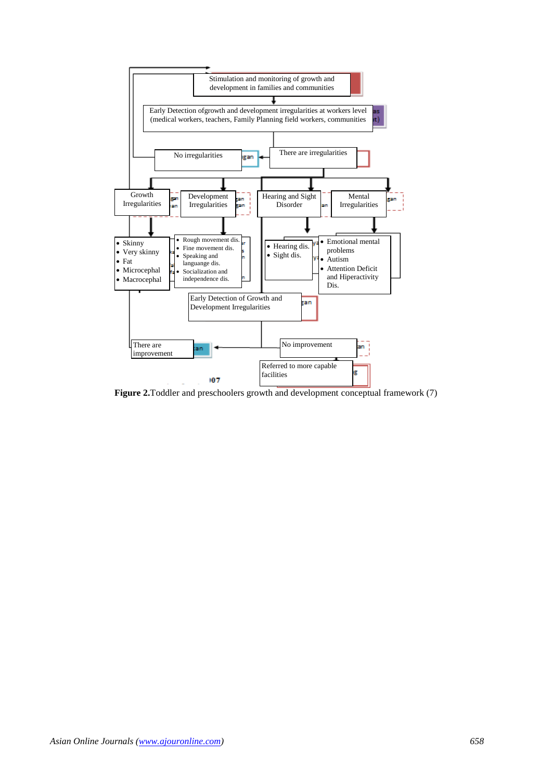

**Figure 2.**Toddler and preschoolers growth and development conceptual framework (7)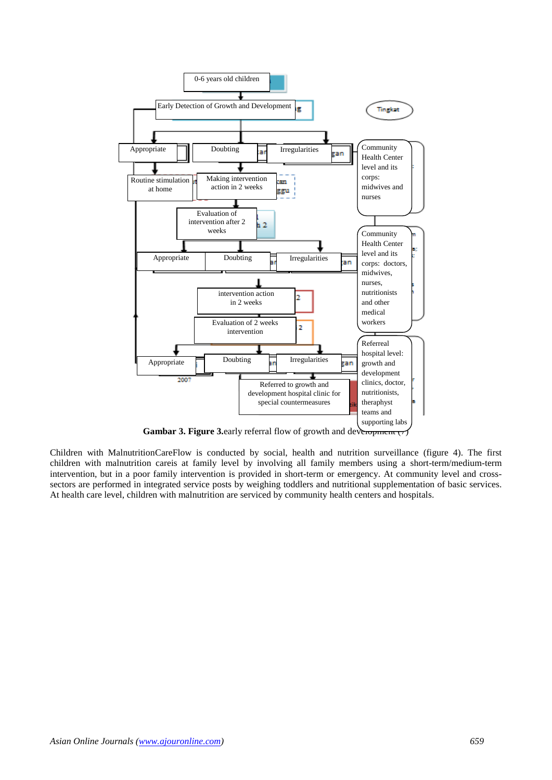

**Gambar 3. Figure 3.** early referral flow of growth and deveropment  $(7)$ 

Children with MalnutritionCareFlow is conducted by social, health and nutrition surveillance (figure 4). The first children with malnutrition careis at family level by involving all family members using a short-term/medium-term intervention, but in a poor family intervention is provided in short-term or emergency. At community level and crosssectors are performed in integrated service posts by weighing toddlers and nutritional supplementation of basic services. At health care level, children with malnutrition are serviced by community health centers and hospitals.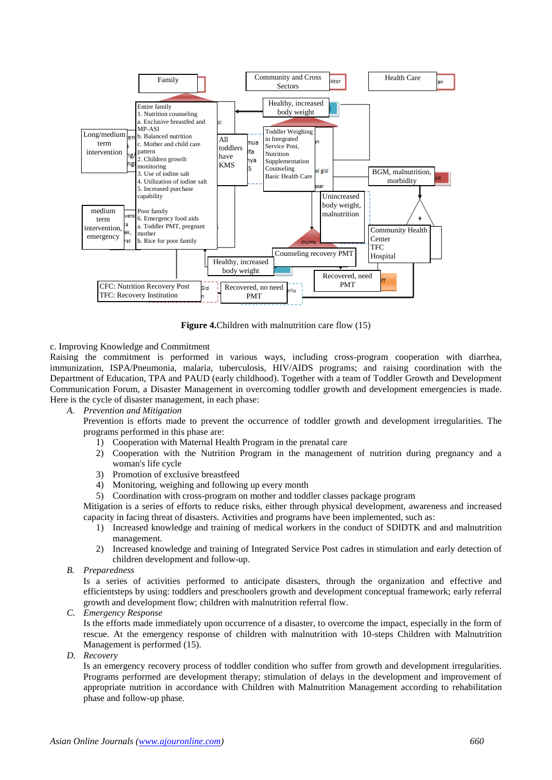

**Figure 4.**Children with malnutrition care flow (15)

# c. Improving Knowledge and Commitment

Raising the commitment is performed in various ways, including cross-program cooperation with diarrhea, immunization, ISPA/Pneumonia, malaria, tuberculosis, HIV/AIDS programs; and raising coordination with the Department of Education, TPA and PAUD (early childhood). Together with a team of Toddler Growth and Development Communication Forum, a Disaster Management in overcoming toddler growth and development emergencies is made. Here is the cycle of disaster management, in each phase:

*A. Prevention and Mitigation*

Prevention is efforts made to prevent the occurrence of toddler growth and development irregularities. The programs performed in this phase are:

- 1) Cooperation with Maternal Health Program in the prenatal care
- 2) Cooperation with the Nutrition Program in the management of nutrition during pregnancy and a woman's life cycle
- 3) Promotion of exclusive breastfeed
- 4) Monitoring, weighing and following up every month
- 5) Coordination with cross-program on mother and toddler classes package program

Mitigation is a series of efforts to reduce risks, either through physical development, awareness and increased capacity in facing threat of disasters. Activities and programs have been implemented, such as:

- 1) Increased knowledge and training of medical workers in the conduct of SDIDTK and and malnutrition management.
- 2) Increased knowledge and training of Integrated Service Post cadres in stimulation and early detection of children development and follow-up.
- *B. Preparedness*

Is a series of activities performed to anticipate disasters, through the organization and effective and efficientsteps by using: toddlers and preschoolers growth and development conceptual framework; early referral growth and development flow; children with malnutrition referral flow.

*C. Emergency Response*

Is the efforts made immediately upon occurrence of a disaster, to overcome the impact, especially in the form of rescue. At the emergency response of children with malnutrition with 10-steps Children with Malnutrition Management is performed (15).

*D. Recovery*

Is an emergency recovery process of toddler condition who suffer from growth and development irregularities. Programs performed are development therapy; stimulation of delays in the development and improvement of appropriate nutrition in accordance with Children with Malnutrition Management according to rehabilitation phase and follow-up phase.